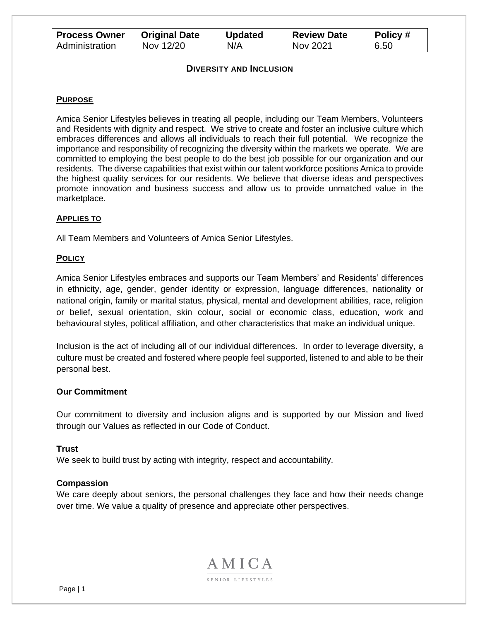| <b>Process Owner</b> | <b>Original Date</b> | <b>Updated</b> | <b>Review Date</b> | Policy# |
|----------------------|----------------------|----------------|--------------------|---------|
| Administration       | Nov 12/20            | N/A            | Nov 2021           | 6.50    |

#### **DIVERSITY AND INCLUSION**

#### **PURPOSE**

Amica Senior Lifestyles believes in treating all people, including our Team Members, Volunteers and Residents with dignity and respect. We strive to create and foster an inclusive culture which embraces differences and allows all individuals to reach their full potential. We recognize the importance and responsibility of recognizing the diversity within the markets we operate. We are committed to employing the best people to do the best job possible for our organization and our residents. The diverse capabilities that exist within our talent workforce positions Amica to provide the highest quality services for our residents. We believe that diverse ideas and perspectives promote innovation and business success and allow us to provide unmatched value in the marketplace.

#### **APPLIES TO**

All Team Members and Volunteers of Amica Senior Lifestyles.

#### **POLICY**

Amica Senior Lifestyles embraces and supports our Team Members' and Residents' differences in ethnicity, age, gender, gender identity or expression, language differences, nationality or national origin, family or marital status, physical, mental and development abilities, race, religion or belief, sexual orientation, skin colour, social or economic class, education, work and behavioural styles, political affiliation, and other characteristics that make an individual unique.

Inclusion is the act of including all of our individual differences. In order to leverage diversity, a culture must be created and fostered where people feel supported, listened to and able to be their personal best.

#### **Our Commitment**

Our commitment to diversity and inclusion aligns and is supported by our Mission and lived through our Values as reflected in our Code of Conduct.

#### **Trust**

We seek to build trust by acting with integrity, respect and accountability.

#### **Compassion**

We care deeply about seniors, the personal challenges they face and how their needs change over time. We value a quality of presence and appreciate other perspectives.

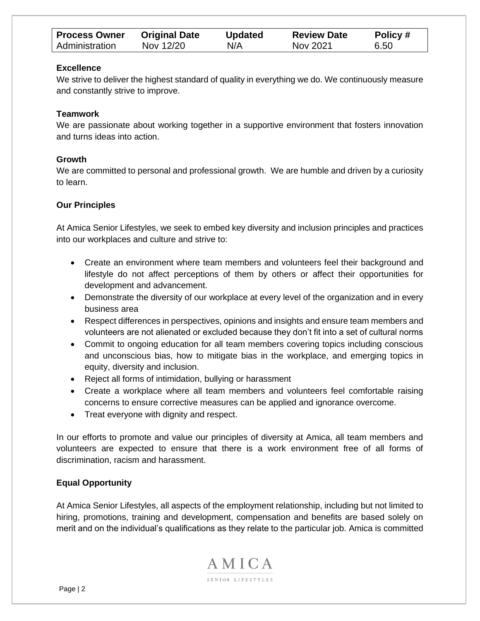| <b>Process Owner</b> | <b>Original Date</b> | <b>Updated</b> | <b>Review Date</b> | Policy # |
|----------------------|----------------------|----------------|--------------------|----------|
| Administration       | Nov 12/20            | N/A            | Nov 2021           | 6.50     |

## **Excellence**

We strive to deliver the highest standard of quality in everything we do. We continuously measure and constantly strive to improve.

## **Teamwork**

We are passionate about working together in a supportive environment that fosters innovation and turns ideas into action.

## **Growth**

We are committed to personal and professional growth. We are humble and driven by a curiosity to learn.

## **Our Principles**

At Amica Senior Lifestyles, we seek to embed key diversity and inclusion principles and practices into our workplaces and culture and strive to:

- Create an environment where team members and volunteers feel their background and lifestyle do not affect perceptions of them by others or affect their opportunities for development and advancement.
- Demonstrate the diversity of our workplace at every level of the organization and in every business area
- Respect differences in perspectives, opinions and insights and ensure team members and volunteers are not alienated or excluded because they don't fit into a set of cultural norms
- Commit to ongoing education for all team members covering topics including conscious and unconscious bias, how to mitigate bias in the workplace, and emerging topics in equity, diversity and inclusion.
- Reject all forms of intimidation, bullying or harassment
- Create a workplace where all team members and volunteers feel comfortable raising concerns to ensure corrective measures can be applied and ignorance overcome.
- Treat everyone with dignity and respect.

In our efforts to promote and value our principles of diversity at Amica, all team members and volunteers are expected to ensure that there is a work environment free of all forms of discrimination, racism and harassment.

# **Equal Opportunity**

At Amica Senior Lifestyles, all aspects of the employment relationship, including but not limited to hiring, promotions, training and development, compensation and benefits are based solely on merit and on the individual's qualifications as they relate to the particular job. Amica is committed